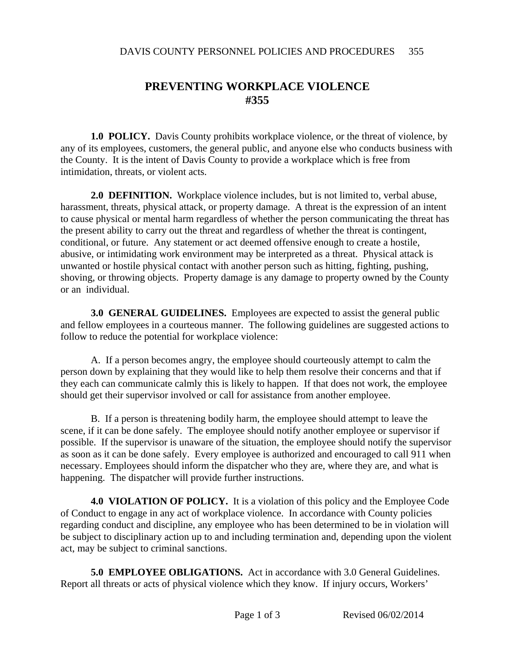## **PREVENTING WORKPLACE VIOLENCE #355**

**1.0 POLICY.** Davis County prohibits workplace violence, or the threat of violence, by any of its employees, customers, the general public, and anyone else who conducts business with the County. It is the intent of Davis County to provide a workplace which is free from intimidation, threats, or violent acts.

**2.0 DEFINITION.** Workplace violence includes, but is not limited to, verbal abuse, harassment, threats, physical attack, or property damage. A threat is the expression of an intent to cause physical or mental harm regardless of whether the person communicating the threat has the present ability to carry out the threat and regardless of whether the threat is contingent, conditional, or future. Any statement or act deemed offensive enough to create a hostile, abusive, or intimidating work environment may be interpreted as a threat. Physical attack is unwanted or hostile physical contact with another person such as hitting, fighting, pushing, shoving, or throwing objects. Property damage is any damage to property owned by the County or an individual.

**3.0 GENERAL GUIDELINES.** Employees are expected to assist the general public and fellow employees in a courteous manner. The following guidelines are suggested actions to follow to reduce the potential for workplace violence:

A. If a person becomes angry, the employee should courteously attempt to calm the person down by explaining that they would like to help them resolve their concerns and that if they each can communicate calmly this is likely to happen. If that does not work, the employee should get their supervisor involved or call for assistance from another employee.

B. If a person is threatening bodily harm, the employee should attempt to leave the scene, if it can be done safely. The employee should notify another employee or supervisor if possible. If the supervisor is unaware of the situation, the employee should notify the supervisor as soon as it can be done safely. Every employee is authorized and encouraged to call 911 when necessary. Employees should inform the dispatcher who they are, where they are, and what is happening. The dispatcher will provide further instructions.

**4.0 VIOLATION OF POLICY.** It is a violation of this policy and the Employee Code of Conduct to engage in any act of workplace violence. In accordance with County policies regarding conduct and discipline, any employee who has been determined to be in violation will be subject to disciplinary action up to and including termination and, depending upon the violent act, may be subject to criminal sanctions.

**5.0 EMPLOYEE OBLIGATIONS.** Act in accordance with 3.0 General Guidelines. Report all threats or acts of physical violence which they know. If injury occurs, Workers'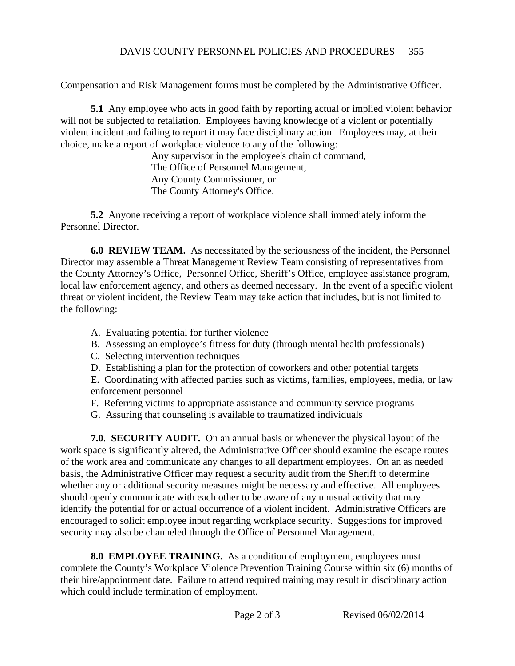Compensation and Risk Management forms must be completed by the Administrative Officer.

**5.1** Any employee who acts in good faith by reporting actual or implied violent behavior will not be subjected to retaliation. Employees having knowledge of a violent or potentially violent incident and failing to report it may face disciplinary action. Employees may, at their choice, make a report of workplace violence to any of the following:

> Any supervisor in the employee's chain of command, The Office of Personnel Management, Any County Commissioner, or The County Attorney's Office.

**5.2** Anyone receiving a report of workplace violence shall immediately inform the Personnel Director.

**6.0 REVIEW TEAM.** As necessitated by the seriousness of the incident, the Personnel Director may assemble a Threat Management Review Team consisting of representatives from the County Attorney's Office, Personnel Office, Sheriff's Office, employee assistance program, local law enforcement agency, and others as deemed necessary. In the event of a specific violent threat or violent incident, the Review Team may take action that includes, but is not limited to the following:

- A. Evaluating potential for further violence
- B. Assessing an employee's fitness for duty (through mental health professionals)
- C. Selecting intervention techniques
- D. Establishing a plan for the protection of coworkers and other potential targets

E. Coordinating with affected parties such as victims, families, employees, media, or law enforcement personnel

- F. Referring victims to appropriate assistance and community service programs
- G. Assuring that counseling is available to traumatized individuals

**7.0**. **SECURITY AUDIT.** On an annual basis or whenever the physical layout of the work space is significantly altered, the Administrative Officer should examine the escape routes of the work area and communicate any changes to all department employees. On an as needed basis, the Administrative Officer may request a security audit from the Sheriff to determine whether any or additional security measures might be necessary and effective. All employees should openly communicate with each other to be aware of any unusual activity that may identify the potential for or actual occurrence of a violent incident. Administrative Officers are encouraged to solicit employee input regarding workplace security. Suggestions for improved security may also be channeled through the Office of Personnel Management.

**8.0 EMPLOYEE TRAINING.** As a condition of employment, employees must complete the County's Workplace Violence Prevention Training Course within six (6) months of their hire/appointment date. Failure to attend required training may result in disciplinary action which could include termination of employment.